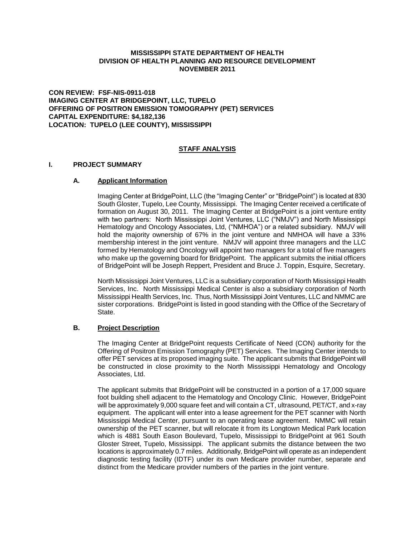# **MISSISSIPPI STATE DEPARTMENT OF HEALTH DIVISION OF HEALTH PLANNING AND RESOURCE DEVELOPMENT NOVEMBER 2011**

**CON REVIEW: FSF-NIS-0911-018 IMAGING CENTER AT BRIDGEPOINT, LLC, TUPELO OFFERING OF POSITRON EMISSION TOMOGRAPHY (PET) SERVICES CAPITAL EXPENDITURE: \$4,182,136 LOCATION: TUPELO (LEE COUNTY), MISSISSIPPI**

#### **STAFF ANALYSIS**

#### **I. PROJECT SUMMARY**

#### **A. Applicant Information**

Imaging Center at BridgePoint, LLC (the "Imaging Center" or "BridgePoint") is located at 830 South Gloster, Tupelo, Lee County, Mississippi. The Imaging Center received a certificate of formation on August 30, 2011. The Imaging Center at BridgePoint is a joint venture entity with two partners: North Mississippi Joint Ventures, LLC ("NMJV") and North Mississippi Hematology and Oncology Associates, Ltd, ("NMHOA") or a related subsidiary. NMJV will hold the majority ownership of 67% in the joint venture and NMHOA will have a 33% membership interest in the joint venture. NMJV will appoint three managers and the LLC formed by Hematology and Oncology will appoint two managers for a total of five managers who make up the governing board for BridgePoint. The applicant submits the initial officers of BridgePoint will be Joseph Reppert, President and Bruce J. Toppin, Esquire, Secretary.

North Mississippi Joint Ventures, LLC is a subsidiary corporation of North Mississippi Health Services, Inc. North Mississippi Medical Center is also a subsidiary corporation of North Mississippi Health Services, Inc. Thus, North Mississippi Joint Ventures, LLC and NMMC are sister corporations. BridgePoint is listed in good standing with the Office of the Secretary of **State** 

#### **B. Project Description**

The Imaging Center at BridgePoint requests Certificate of Need (CON) authority for the Offering of Positron Emission Tomography (PET) Services. The Imaging Center intends to offer PET services at its proposed imaging suite. The applicant submits that BridgePoint will be constructed in close proximity to the North Mississippi Hematology and Oncology Associates, Ltd.

The applicant submits that BridgePoint will be constructed in a portion of a 17,000 square foot building shell adjacent to the Hematology and Oncology Clinic. However, BridgePoint will be approximately 9,000 square feet and will contain a CT, ultrasound, PET/CT, and x-ray equipment. The applicant will enter into a lease agreement for the PET scanner with North Mississippi Medical Center, pursuant to an operating lease agreement. NMMC will retain ownership of the PET scanner, but will relocate it from its Longtown Medical Park location which is 4881 South Eason Boulevard, Tupelo, Mississippi to BridgePoint at 961 South Gloster Street, Tupelo, Mississippi. The applicant submits the distance between the two locations is approximately 0.7 miles. Additionally, BridgePoint will operate as an independent diagnostic testing facility (IDTF) under its own Medicare provider number, separate and distinct from the Medicare provider numbers of the parties in the joint venture.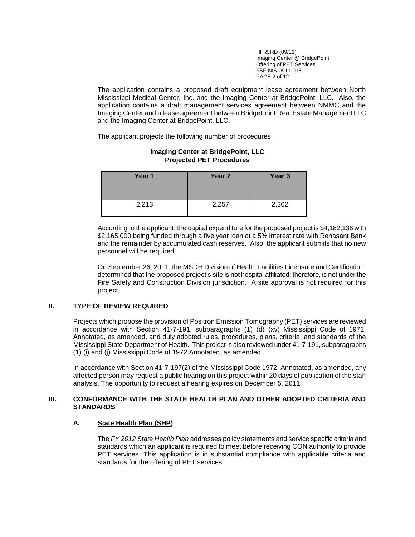HP & RD (09/11) Imaging Center @ BridgePoint Offering of PET Services FSF-NIS-0911-018 PAGE 2 of 12

The application contains a proposed draft equipment lease agreement between North Mississippi Medical Center, Inc. and the Imaging Center at BridgePoint, LLC. Also, the application contains a draft management services agreement between NMMC and the Imaging Center and a lease agreement between BridgePoint Real Estate Management LLC and the Imaging Center at BridgePoint, LLC.

The applicant projects the following number of procedures:

# **Year 1 Year 2 Year 3** 2,213 2,257 2,302

# **Imaging Center at BridgePoint, LLC Projected PET Procedures**

According to the applicant, the capital expenditure for the proposed project is \$4,182,136 with \$2,165,000 being funded through a five year loan at a 5% interest rate with Renasant Bank and the remainder by accumulated cash reserves. Also, the applicant submits that no new personnel will be required.

On September 26, 2011, the MSDH Division of Health Facilities Licensure and Certification, determined that the proposed project's site is not hospital affiliated; therefore, is not under the Fire Safety and Construction Division jurisdiction. A site approval is not required for this project.

# **II. TYPE OF REVIEW REQUIRED**

Projects which propose the provision of Positron Emission Tomography (PET) services are reviewed in accordance with Section 41-7-191, subparagraphs (1) (d) (xv) Mississippi Code of 1972, Annotated, as amended, and duly adopted rules, procedures, plans, criteria, and standards of the Mississippi State Department of Health. This project is also reviewed under 41-7-191, subparagraphs (1) (i) and (j) Mississippi Code of 1972 Annotated, as amended.

In accordance with Section 41-7-197(2) of the Mississippi Code 1972, Annotated, as amended, any affected person may request a public hearing on this project within 20 days of publication of the staff analysis. The opportunity to request a hearing expires on December 5, 2011.

# **III. CONFORMANCE WITH THE STATE HEALTH PLAN AND OTHER ADOPTED CRITERIA AND STANDARDS**

#### **A. State Health Plan (SHP)**

The *FY 2012 State Health Plan* addresses policy statements and service specific criteria and standards which an applicant is required to meet before receiving CON authority to provide PET services. This application is in substantial compliance with applicable criteria and standards for the offering of PET services.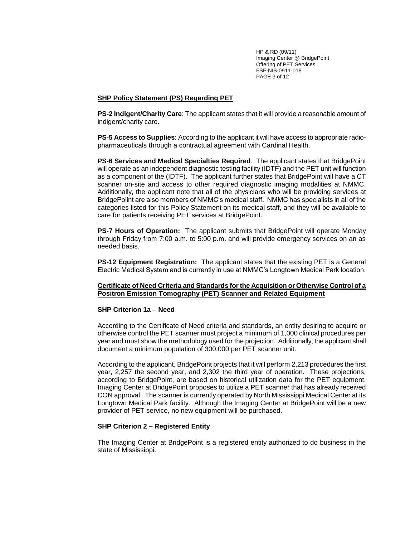HP & RD (09/11) Imaging Center @ BridgePoint Offering of PET Services FSF-NIS-0911-018 PAGE 3 of 12

#### **SHP Policy Statement (PS) Regarding PET**

**PS-2 Indigent/Charity Care**: The applicant states that it will provide a reasonable amount of indigent/charity care.

**PS-5 Access to Supplies**: According to the applicant it will have access to appropriate radiopharmaceuticals through a contractual agreement with Cardinal Health.

**PS-6 Services and Medical Specialties Required**: The applicant states that BridgePoint will operate as an independent diagnostic testing facility (IDTF) and the PET unit will function as a component of the (IDTF). The applicant further states that BridgePoint will have a CT scanner on-site and access to other required diagnostic imaging modalities at NMMC. Additionally, the applicant note that all of the physicians who will be providing services at BridgePoiint are also members of NMMC's medical staff. NMMC has specialists in all of the categories listed for this Policy Statement on its medical staff, and they will be available to care for patients receiving PET services at BridgePoint.

**PS-7 Hours of Operation:** The applicant submits that BridgePoint will operate Monday through Friday from 7:00 a.m. to 5:00 p.m. and will provide emergency services on an as needed basis.

**PS-12 Equipment Registration:** The applicant states that the existing PET is a General Electric Medical System and is currently in use at NMMC's Longtown Medical Park location.

#### **Certificate of Need Criteria and Standards for the Acquisition or Otherwise Control of a Positron Emission Tomography (PET) Scanner and Related Equipment**

#### **SHP Criterion 1a – Need**

According to the Certificate of Need criteria and standards, an entity desiring to acquire or otherwise control the PET scanner must project a minimum of 1,000 clinical procedures per year and must show the methodology used for the projection. Additionally, the applicant shall document a minimum population of 300,000 per PET scanner unit.

According to the applicant, BridgePoint projects that it will perform 2,213 procedures the first year, 2,257 the second year, and 2,302 the third year of operation. These projections, according to BridgePoint, are based on historical utilization data for the PET equipment. Imaging Center at BridgePoint proposes to utilize a PET scanner that has already received CON approval. The scanner is currently operated by North Mississippi Medical Center at its Longtown Medical Park facility. Although the Imaging Center at BridgePoint will be a new provider of PET service, no new equipment will be purchased.

#### **SHP Criterion 2 – Registered Entity**

The Imaging Center at BridgePoint is a registered entity authorized to do business in the state of Mississippi.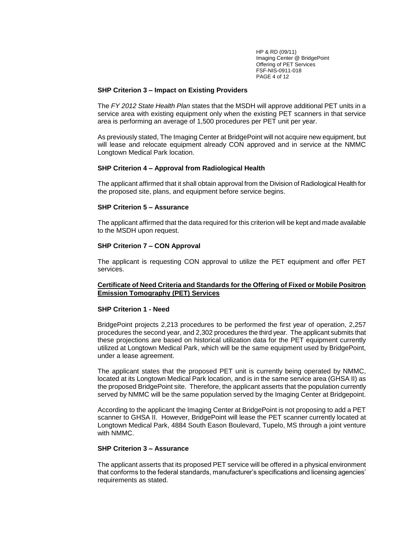HP & RD (09/11) Imaging Center @ BridgePoint Offering of PET Services FSF-NIS-0911-018 PAGE 4 of 12

#### **SHP Criterion 3 – Impact on Existing Providers**

The *FY 2012 State Health Plan* states that the MSDH will approve additional PET units in a service area with existing equipment only when the existing PET scanners in that service area is performing an average of 1,500 procedures per PET unit per year.

As previously stated, The Imaging Center at BridgePoint will not acquire new equipment, but will lease and relocate equipment already CON approved and in service at the NMMC Longtown Medical Park location.

#### **SHP Criterion 4 – Approval from Radiological Health**

The applicant affirmed that it shall obtain approval from the Division of Radiological Health for the proposed site, plans, and equipment before service begins.

#### **SHP Criterion 5 – Assurance**

The applicant affirmed that the data required for this criterion will be kept and made available to the MSDH upon request.

#### **SHP Criterion 7 – CON Approval**

The applicant is requesting CON approval to utilize the PET equipment and offer PET services.

#### **Certificate of Need Criteria and Standards for the Offering of Fixed or Mobile Positron Emission Tomography (PET) Services**

#### **SHP Criterion 1 - Need**

BridgePoint projects 2,213 procedures to be performed the first year of operation, 2,257 procedures the second year, and 2,302 procedures the third year. The applicant submits that these projections are based on historical utilization data for the PET equipment currently utilized at Longtown Medical Park, which will be the same equipment used by BridgePoint, under a lease agreement.

The applicant states that the proposed PET unit is currently being operated by NMMC, located at its Longtown Medical Park location, and is in the same service area (GHSA II) as the proposed BridgePoint site. Therefore, the applicant asserts that the population currently served by NMMC will be the same population served by the Imaging Center at Bridgepoint.

According to the applicant the Imaging Center at BridgePoint is not proposing to add a PET scanner to GHSA II. However, BridgePoint will lease the PET scanner currently located at Longtown Medical Park, 4884 South Eason Boulevard, Tupelo, MS through a joint venture with NMMC.

#### **SHP Criterion 3 – Assurance**

The applicant asserts that its proposed PET service will be offered in a physical environment that conforms to the federal standards, manufacturer's specifications and licensing agencies' requirements as stated.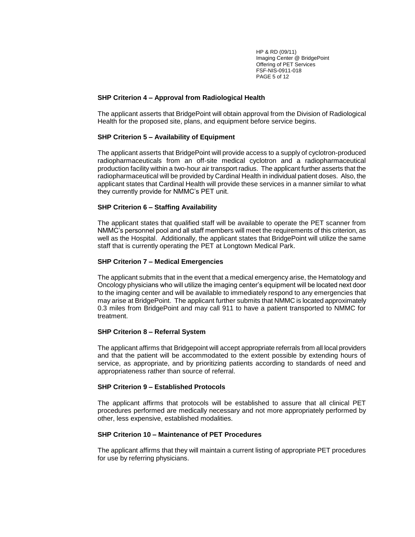HP & RD (09/11) Imaging Center @ BridgePoint Offering of PET Services FSF-NIS-0911-018 PAGE 5 of 12

#### **SHP Criterion 4 – Approval from Radiological Health**

The applicant asserts that BridgePoint will obtain approval from the Division of Radiological Health for the proposed site, plans, and equipment before service begins.

#### **SHP Criterion 5 – Availability of Equipment**

The applicant asserts that BridgePoint will provide access to a supply of cyclotron-produced radiopharmaceuticals from an off-site medical cyclotron and a radiopharmaceutical production facility within a two-hour air transport radius. The applicant further asserts that the radiopharmaceutical will be provided by Cardinal Health in individual patient doses. Also, the applicant states that Cardinal Health will provide these services in a manner similar to what they currently provide for NMMC's PET unit.

#### **SHP Criterion 6 – Staffing Availability**

The applicant states that qualified staff will be available to operate the PET scanner from NMMC's personnel pool and all staff members will meet the requirements of this criterion, as well as the Hospital. Additionally, the applicant states that BridgePoint will utilize the same staff that is currently operating the PET at Longtown Medical Park.

#### **SHP Criterion 7 – Medical Emergencies**

The applicant submits that in the event that a medical emergency arise, the Hematology and Oncology physicians who will utilize the imaging center's equipment will be located next door to the imaging center and will be available to immediately respond to any emergencies that may arise at BridgePoint. The applicant further submits that NMMC is located approximately 0.3 miles from BridgePoint and may call 911 to have a patient transported to NMMC for treatment.

#### **SHP Criterion 8 – Referral System**

The applicant affirms that Bridgepoint will accept appropriate referrals from all local providers and that the patient will be accommodated to the extent possible by extending hours of service, as appropriate, and by prioritizing patients according to standards of need and appropriateness rather than source of referral.

#### **SHP Criterion 9 – Established Protocols**

The applicant affirms that protocols will be established to assure that all clinical PET procedures performed are medically necessary and not more appropriately performed by other, less expensive, established modalities.

#### **SHP Criterion 10 – Maintenance of PET Procedures**

The applicant affirms that they will maintain a current listing of appropriate PET procedures for use by referring physicians.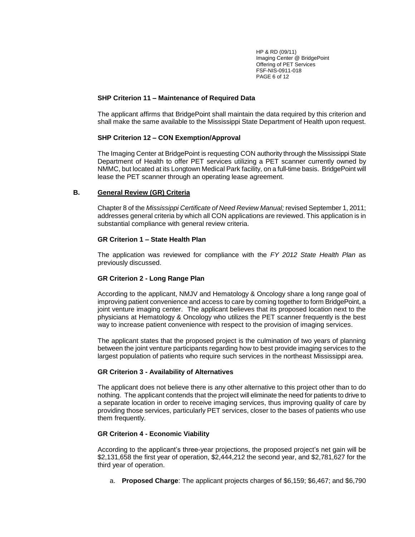HP & RD (09/11) Imaging Center @ BridgePoint Offering of PET Services FSF-NIS-0911-018 PAGE 6 of 12

#### **SHP Criterion 11 – Maintenance of Required Data**

The applicant affirms that BridgePoint shall maintain the data required by this criterion and shall make the same available to the Mississippi State Department of Health upon request.

# **SHP Criterion 12 – CON Exemption/Approval**

The Imaging Center at BridgePoint is requesting CON authority through the Mississippi State Department of Health to offer PET services utilizing a PET scanner currently owned by NMMC, but located at its Longtown Medical Park facility, on a full-time basis. BridgePoint will lease the PET scanner through an operating lease agreement.

# **B. General Review (GR) Criteria**

Chapter 8 of the *Mississippi Certificate of Need Review Manual;* revised September 1, 2011; addresses general criteria by which all CON applications are reviewed. This application is in substantial compliance with general review criteria.

# **GR Criterion 1 – State Health Plan**

The application was reviewed for compliance with the *FY 2012 State Health Plan* as previously discussed.

# **GR Criterion 2 - Long Range Plan**

According to the applicant, NMJV and Hematology & Oncology share a long range goal of improving patient convenience and access to care by coming together to form BridgePoint, a joint venture imaging center. The applicant believes that its proposed location next to the physicians at Hematology & Oncology who utilizes the PET scanner frequently is the best way to increase patient convenience with respect to the provision of imaging services.

The applicant states that the proposed project is the culmination of two years of planning between the joint venture participants regarding how to best provide imaging services to the largest population of patients who require such services in the northeast Mississippi area.

# **GR Criterion 3 - Availability of Alternatives**

The applicant does not believe there is any other alternative to this project other than to do nothing. The applicant contends that the project will eliminate the need for patients to drive to a separate location in order to receive imaging services, thus improving quality of care by providing those services, particularly PET services, closer to the bases of patients who use them frequently.

# **GR Criterion 4 - Economic Viability**

According to the applicant's three-year projections, the proposed project's net gain will be \$2,131,658 the first year of operation, \$2,444,212 the second year, and \$2,781,627 for the third year of operation.

a. **Proposed Charge**: The applicant projects charges of \$6,159; \$6,467; and \$6,790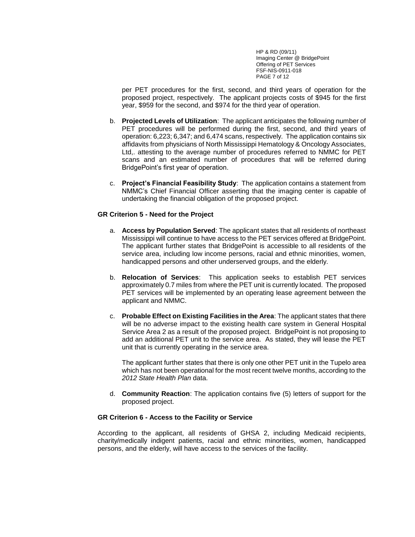HP & RD (09/11) Imaging Center @ BridgePoint Offering of PET Services FSF-NIS-0911-018 PAGE 7 of 12

per PET procedures for the first, second, and third years of operation for the proposed project, respectively. The applicant projects costs of \$945 for the first year, \$959 for the second, and \$974 for the third year of operation.

- b. **Projected Levels of Utilization**: The applicant anticipates the following number of PET procedures will be performed during the first, second, and third years of operation: 6,223; 6,347; and 6,474 scans, respectively. The application contains six affidavits from physicians of North Mississippi Hematology & Oncology Associates, Ltd,. attesting to the average number of procedures referred to NMMC for PET scans and an estimated number of procedures that will be referred during BridgePoint's first year of operation.
- c. **Project's Financial Feasibility Study**: The application contains a statement from NMMC's Chief Financial Officer asserting that the imaging center is capable of undertaking the financial obligation of the proposed project.

#### **GR Criterion 5 - Need for the Project**

- a. **Access by Population Served**: The applicant states that all residents of northeast Mississippi will continue to have access to the PET services offered at BridgePoint. The applicant further states that BridgePoint is accessible to all residents of the service area, including low income persons, racial and ethnic minorities, women, handicapped persons and other underserved groups, and the elderly.
- b. **Relocation of Services**: This application seeks to establish PET services approximately 0.7 miles from where the PET unit is currently located. The proposed PET services will be implemented by an operating lease agreement between the applicant and NMMC.
- c. **Probable Effect on Existing Facilities in the Area**: The applicant states that there will be no adverse impact to the existing health care system in General Hospital Service Area 2 as a result of the proposed project. BridgePoint is not proposing to add an additional PET unit to the service area. As stated, they will lease the PET unit that is currently operating in the service area.

The applicant further states that there is only one other PET unit in the Tupelo area which has not been operational for the most recent twelve months, according to the *2012 State Health Plan* data.

d. **Community Reaction**: The application contains five (5) letters of support for the proposed project.

#### **GR Criterion 6 - Access to the Facility or Service**

According to the applicant, all residents of GHSA 2, including Medicaid recipients, charity/medically indigent patients, racial and ethnic minorities, women, handicapped persons, and the elderly, will have access to the services of the facility.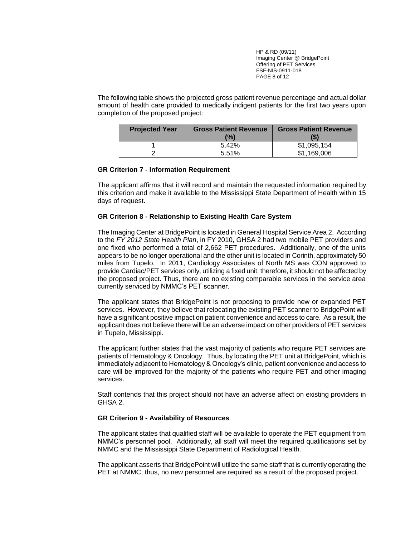HP & RD (09/11) Imaging Center @ BridgePoint Offering of PET Services FSF-NIS-0911-018 PAGE 8 of 12

The following table shows the projected gross patient revenue percentage and actual dollar amount of health care provided to medically indigent patients for the first two years upon completion of the proposed project:

| <b>Projected Year</b> | <b>Gross Patient Revenue</b> | <b>Gross Patient Revenue</b> |
|-----------------------|------------------------------|------------------------------|
|                       | (%)                          |                              |
|                       | 5.42%                        | \$1.095.154                  |
|                       | 5.51%                        | \$1.169.006                  |

#### **GR Criterion 7 - Information Requirement**

The applicant affirms that it will record and maintain the requested information required by this criterion and make it available to the Mississippi State Department of Health within 15 days of request.

#### **GR Criterion 8 - Relationship to Existing Health Care System**

The Imaging Center at BridgePoint is located in General Hospital Service Area 2. According to the *FY 2012 State Health Plan*, in FY 2010, GHSA 2 had two mobile PET providers and one fixed who performed a total of 2,662 PET procedures. Additionally, one of the units appears to be no longer operational and the other unit is located in Corinth, approximately 50 miles from Tupelo. In 2011, Cardiology Associates of North MS was CON approved to provide Cardiac/PET services only, utilizing a fixed unit; therefore, it should not be affected by the proposed project. Thus, there are no existing comparable services in the service area currently serviced by NMMC's PET scanner.

The applicant states that BridgePoint is not proposing to provide new or expanded PET services. However, they believe that relocating the existing PET scanner to BridgePoint will have a significant positive impact on patient convenience and access to care. As a result, the applicant does not believe there will be an adverse impact on other providers of PET services in Tupelo, Mississippi.

The applicant further states that the vast majority of patients who require PET services are patients of Hematology & Oncology. Thus, by locating the PET unit at BridgePoint, which is immediately adjacent to Hematology & Oncology's clinic, patient convenience and access to care will be improved for the majority of the patients who require PET and other imaging services.

Staff contends that this project should not have an adverse affect on existing providers in GHSA 2.

#### **GR Criterion 9 - Availability of Resources**

The applicant states that qualified staff will be available to operate the PET equipment from NMMC's personnel pool. Additionally, all staff will meet the required qualifications set by NMMC and the Mississippi State Department of Radiological Health.

The applicant asserts that BridgePoint will utilize the same staff that is currently operating the PET at NMMC; thus, no new personnel are required as a result of the proposed project.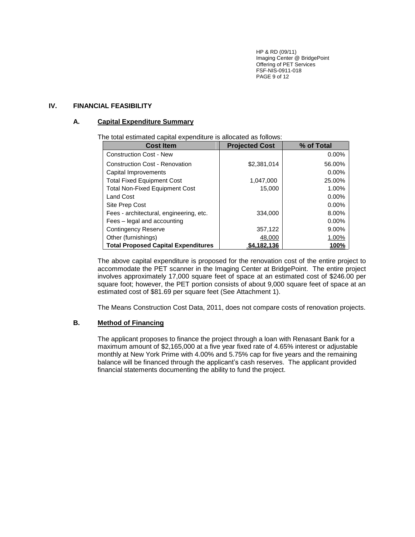HP & RD (09/11) Imaging Center @ BridgePoint Offering of PET Services FSF-NIS-0911-018 PAGE 9 of 12

# **IV. FINANCIAL FEASIBILITY**

# **A. Capital Expenditure Summary**

#### The total estimated capital expenditure is allocated as follows:

| <b>Cost Item</b>                           | <b>Projected Cost</b> | % of Total  |
|--------------------------------------------|-----------------------|-------------|
| <b>Construction Cost - New</b>             |                       | 0.00%       |
| <b>Construction Cost - Renovation</b>      | \$2,381,014           | 56.00%      |
| Capital Improvements                       |                       | 0.00%       |
| <b>Total Fixed Equipment Cost</b>          | 1,047,000             | 25.00%      |
| <b>Total Non-Fixed Equipment Cost</b>      | 15.000                | 1.00%       |
| <b>Land Cost</b>                           |                       | $0.00\%$    |
| Site Prep Cost                             |                       | $0.00\%$    |
| Fees - architectural, engineering, etc.    | 334.000               | 8.00%       |
| Fees - legal and accounting                |                       | 0.00%       |
| <b>Contingency Reserve</b>                 | 357,122               | 9.00%       |
| Other (furnishings)                        | 48,000                | 1.00%       |
| <b>Total Proposed Capital Expenditures</b> | \$4.182.136           | <b>100%</b> |

The above capital expenditure is proposed for the renovation cost of the entire project to accommodate the PET scanner in the Imaging Center at BridgePoint. The entire project involves approximately 17,000 square feet of space at an estimated cost of \$246.00 per square foot; however, the PET portion consists of about 9,000 square feet of space at an estimated cost of \$81.69 per square feet (See Attachment 1).

The Means Construction Cost Data, 2011, does not compare costs of renovation projects.

# **B. Method of Financing**

The applicant proposes to finance the project through a loan with Renasant Bank for a maximum amount of \$2,165,000 at a five year fixed rate of 4.65% interest or adjustable monthly at New York Prime with 4.00% and 5.75% cap for five years and the remaining balance will be financed through the applicant's cash reserves. The applicant provided financial statements documenting the ability to fund the project.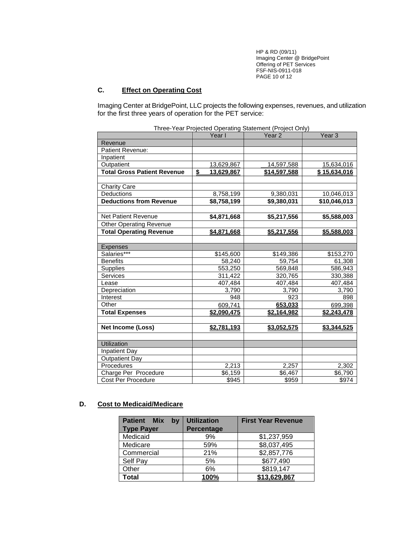HP & RD (09/11) Imaging Center @ BridgePoint Offering of PET Services FSF-NIS-0911-018 PAGE 10 of 12

# **C. Effect on Operating Cost**

Imaging Center at BridgePoint, LLC projects the following expenses, revenues, and utilization for the first three years of operation for the PET service:

|                                    | Year I           | rince Tear Frejected Operating Glatement (Freject Only)<br>Year <sub>2</sub> | Year <sub>3</sub> |
|------------------------------------|------------------|------------------------------------------------------------------------------|-------------------|
| Revenue                            |                  |                                                                              |                   |
| Patient Revenue:                   |                  |                                                                              |                   |
| Inpatient                          |                  |                                                                              |                   |
| Outpatient                         | 13,629,867       | 14,597,588                                                                   | 15,634,016        |
| <b>Total Gross Patient Revenue</b> | \$<br>13,629,867 | \$14,597,588                                                                 | \$15,634,016      |
|                                    |                  |                                                                              |                   |
| <b>Charity Care</b>                |                  |                                                                              |                   |
| Deductions                         | 8,758,199        | 9,380,031                                                                    | 10,046,013        |
| <b>Deductions from Revenue</b>     | \$8,758,199      | \$9,380,031                                                                  | \$10,046,013      |
|                                    |                  |                                                                              |                   |
| <b>Net Patient Revenue</b>         | \$4,871,668      | \$5,217,556                                                                  | \$5,588,003       |
| <b>Other Operating Revenue</b>     |                  |                                                                              |                   |
| <b>Total Operating Revenue</b>     | \$4,871,668      | \$5,217,556                                                                  | \$5,588,003       |
|                                    |                  |                                                                              |                   |
| <b>Expenses</b>                    |                  |                                                                              |                   |
| Salaries***                        | \$145,600        | \$149,386                                                                    | \$153,270         |
| <b>Benefits</b>                    | 58,240           | 59,754                                                                       | 61,308            |
| <b>Supplies</b>                    | 553,250          | 569,848                                                                      | 586,943           |
| Services                           | 311,422          | 320,765                                                                      | 330,388           |
| Lease                              | 407,484          | 407,484                                                                      | 407,484           |
| Depreciation                       | 3,790            | 3,790                                                                        | 3,790             |
| Interest                           | 948              | 923                                                                          | 898               |
| Other                              | 609,741          | 653,033                                                                      | 699,398           |
| <b>Total Expenses</b>              | \$2.090.475      | \$2,164,982                                                                  | \$2,243,478       |
|                                    |                  |                                                                              |                   |
| <b>Net Income (Loss)</b>           | \$2,781,193      | \$3,052,575                                                                  | \$3,344,525       |
|                                    |                  |                                                                              |                   |
| Utilization                        |                  |                                                                              |                   |
| <b>Inpatient Day</b>               |                  |                                                                              |                   |
| <b>Outpatient Day</b>              |                  |                                                                              |                   |
| Procedures                         | 2,213            | 2,257                                                                        | 2,302             |
| Charge Per Procedure               | \$6,159          | \$6,467                                                                      | \$6,790           |
| <b>Cost Per Procedure</b>          | \$945            | \$959                                                                        | \$974             |

|  |  | Three-Year Projected Operating Statement (Project Only) |
|--|--|---------------------------------------------------------|
|  |  |                                                         |

# **D. Cost to Medicaid/Medicare**

| <b>Patient</b><br><b>Mix</b><br>bv<br><b>Type Payer</b> | <b>Utilization</b><br>Percentage | <b>First Year Revenue</b> |
|---------------------------------------------------------|----------------------------------|---------------------------|
| Medicaid                                                | 9%                               | \$1,237,959               |
| Medicare                                                | 59%                              | \$8,037,495               |
| Commercial                                              | 21%                              | \$2,857,776               |
| Self Pay                                                | 5%                               | \$677,490                 |
| Other                                                   | 6%                               | \$819,147                 |
| Total                                                   | 100%                             | \$13.629.867              |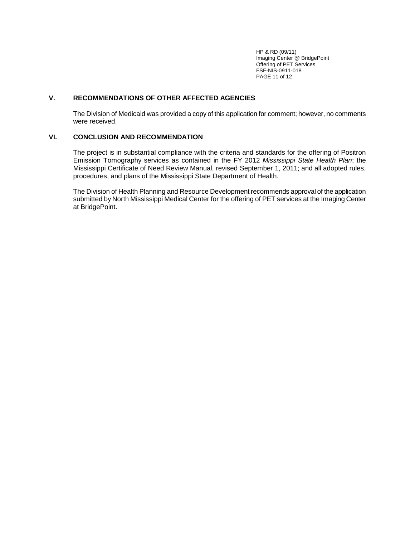HP & RD (09/11) Imaging Center @ BridgePoint Offering of PET Services FSF-NIS-0911-018 PAGE 11 of 12

# **V. RECOMMENDATIONS OF OTHER AFFECTED AGENCIES**

The Division of Medicaid was provided a copy of this application for comment; however, no comments were received.

#### **VI. CONCLUSION AND RECOMMENDATION**

The project is in substantial compliance with the criteria and standards for the offering of Positron Emission Tomography services as contained in the FY 2012 *Mississippi State Health Plan*; the Mississippi Certificate of Need Review Manual, revised September 1, 2011; and all adopted rules, procedures, and plans of the Mississippi State Department of Health.

The Division of Health Planning and Resource Development recommends approval of the application submitted by North Mississippi Medical Center for the offering of PET services at the Imaging Center at BridgePoint.